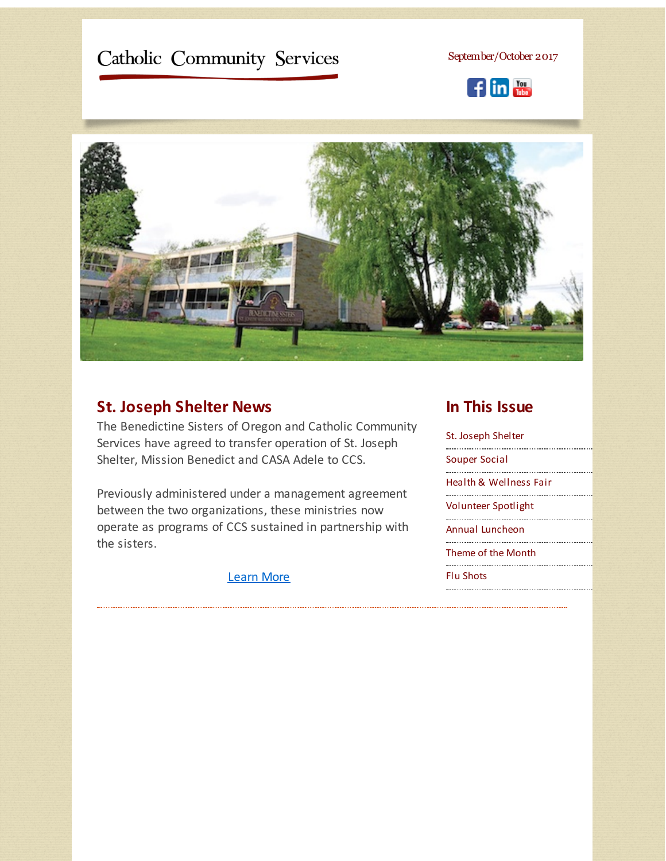# <span id="page-0-0"></span>Catholic Community Services

September/October 2017





## **St. Joseph Shelter News**

The Benedictine Sisters of Oregon and Catholic Community Services have agreed to transfer operation of St. Joseph Shelter, Mission Benedict and CASA Adele to CCS.

Previously administered under a management agreement between the two organizations, these ministries now operate as programs of CCS sustained in partnership with the sisters.

[Learn](http://r20.rs6.net/tn.jsp?f=0012kw7GXoZm-ZyrLUTChWEg1ue40DeDAlMTU36jmFtyvj_26CFRyUOWzxarmIrV9Qkj2vVKRaIqeFqMRoWrns8YdNydZbV-KQVmydv77s4iUMmtP0yn6RQ_r_Q3YKJTzpxFfd_17XX8nHC7Z8cohLrNatweqGmk-gAoOMsWsws_r_vZ8Y0-1MjE-b5uVioWa2VOoizxagmA4c=&c=&ch=) More

### **In This Issue**

St. Joseph [Shelter](#page-0-0) [Souper](#page-0-0) Social Health & [Wellness](#page-0-0) Fair [Volunteer](#page-0-0) Spotlight Annual [Luncheon](#page-0-0) [Theme](#page-0-0) of the Month Flu [Shots](#page-0-0)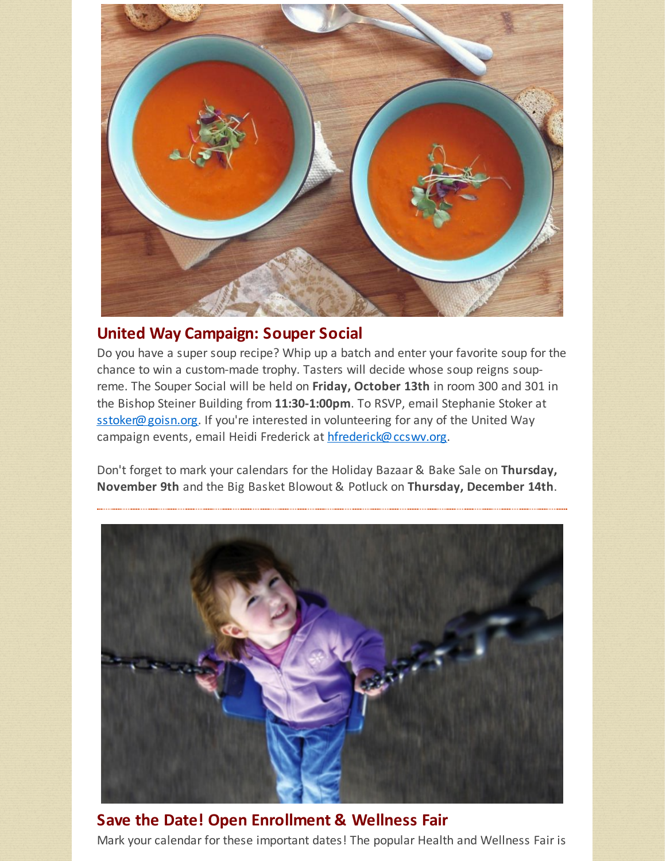

### **United Way Campaign: Souper Social**

Do you have a super soup recipe? Whip up a batch and enter your favorite soup for the chance to win a custom-made trophy. Tasters will decide whose soup reigns soupreme. The Souper Social will be held on **Friday, October 13th** in room 300 and 301 in the Bishop Steiner Building from **11:30-1:00pm**. To RSVP, email Stephanie Stoker at [sstoker@goisn.org](mailto:sstoker@goisn.org). If you're interested in volunteering for any of the United Way campaign events, email Heidi Frederick at [hfrederick@ccswv.org](mailto:hfrederick@ccswv.org).

Don't forget to mark your calendars for the Holiday Bazaar & Bake Sale on **Thursday, November 9th** and the Big Basket Blowout & Potluck on **Thursday, December 14th**.



**Save the Date! Open Enrollment & Wellness Fair** Mark your calendar for these important dates! The popular Health and Wellness Fair is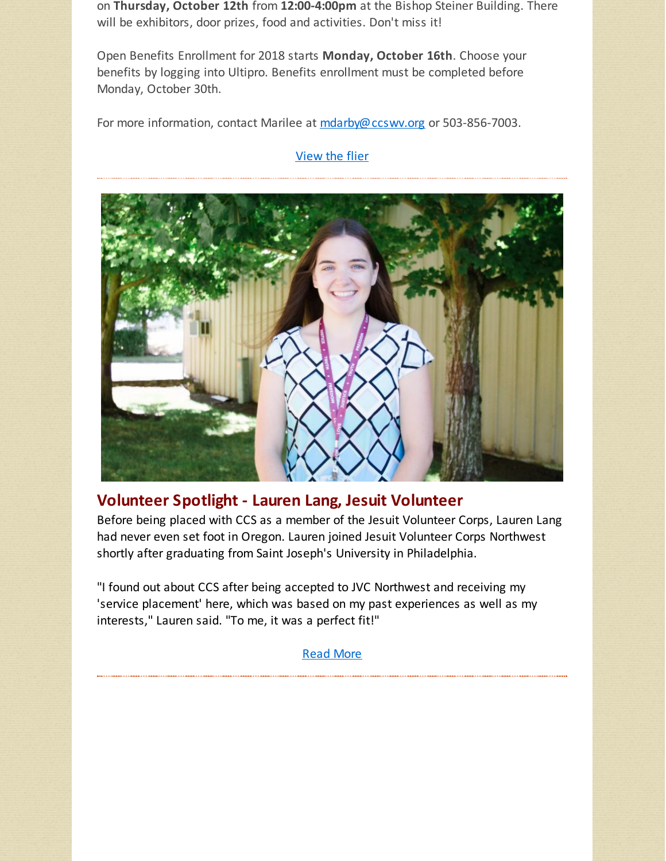on **Thursday, October 12th** from **12:00-4:00pm** at the Bishop Steiner Building. There will be exhibitors, door prizes, food and activities. Don't miss it!

Open Benefits Enrollment for 2018 starts **Monday, October 16th**. Choose your benefits by logging into Ultipro. Benefits enrollment must be completed before Monday, October 30th.

For more information, contact Marilee at [mdarby@ccswv.org](mailto:mdarby@ccswv.org) or 503-856-7003.

#### [View](http://r20.rs6.net/tn.jsp?f=0012kw7GXoZm-ZyrLUTChWEg1ue40DeDAlMTU36jmFtyvj_26CFRyUOWzxarmIrV9Qko3ceNAL3JvpXN9MygC2etAH7SAiBD29r8WEEHEpZfiZ9AcUz5D69kzlJbKz0BiQ2U3bgsqxivb_u_7ymjo_kpwzhX3_mtPsrC-NSinv0KHLekDYssgzFCmgfEtvIBjnjMOGFo4a-rt24lo0kPkAT2jVXG0PLasa5gzJxRvgA1275gRt_IHQlue8ZR72Ns3Wjvm1zIiI1Zio=&c=&ch=) the flier



### **Volunteer Spotlight - Lauren Lang, Jesuit Volunteer**

Before being placed with CCS as a member of the Jesuit Volunteer Corps, Lauren Lang had never even set foot in Oregon. Lauren joined Jesuit Volunteer Corps Northwest shortly after graduating from Saint Joseph's University in Philadelphia.

"I found out about CCS after being accepted to JVC Northwest and receiving my 'service placement' here, which was based on my past experiences as well as my interests," Lauren said. "To me, it was a perfect fit!"

[Read](http://r20.rs6.net/tn.jsp?f=0012kw7GXoZm-ZyrLUTChWEg1ue40DeDAlMTU36jmFtyvj_26CFRyUOWzxarmIrV9QkN-IDnyNChCfpqEVd1qlqmdLH_mx9jj-qD0pE3KpFTemIAWv6YRV2Lxylna7NhN-NPik-oVBoeWIzqBkUu79KqWXabadvR_xZWWzrdL06QQB6QMIVp4DBkMkqFsjCmWguIpGb3sQEHcxkoMl3JitoHA==&c=&ch=) More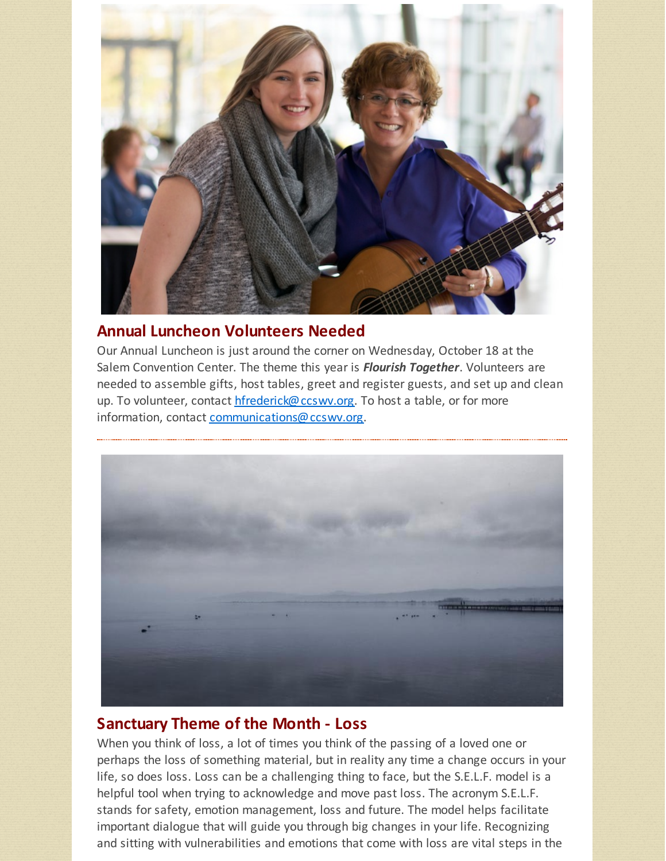

# **Annual Luncheon Volunteers Needed**

Our Annual Luncheon is just around the corner on Wednesday, October 18 at the Salem Convention Center. The theme this year is *Flourish Together*. Volunteers are needed to assemble gifts, host tables, greet and register guests, and set up and clean up. To volunteer, contact [hfrederick@ccswv.org](mailto:hfrederick@ccswv.org). To host a table, or for more information, contact [communications@ccswv.org](mailto:communications@ccswv.org).



# **Sanctuary Theme of the Month - Loss**

When you think of loss, a lot of times you think of the passing of a loved one or perhaps the loss of something material, but in reality any time a change occurs in your life, so does loss. Loss can be a challenging thing to face, but the S.E.L.F. model is a helpful tool when trying to acknowledge and move past loss. The acronym S.E.L.F. stands for safety, emotion management, loss and future. The model helps facilitate important dialogue that will guide you through big changes in your life. Recognizing and sitting with vulnerabilities and emotions that come with loss are vital steps in the